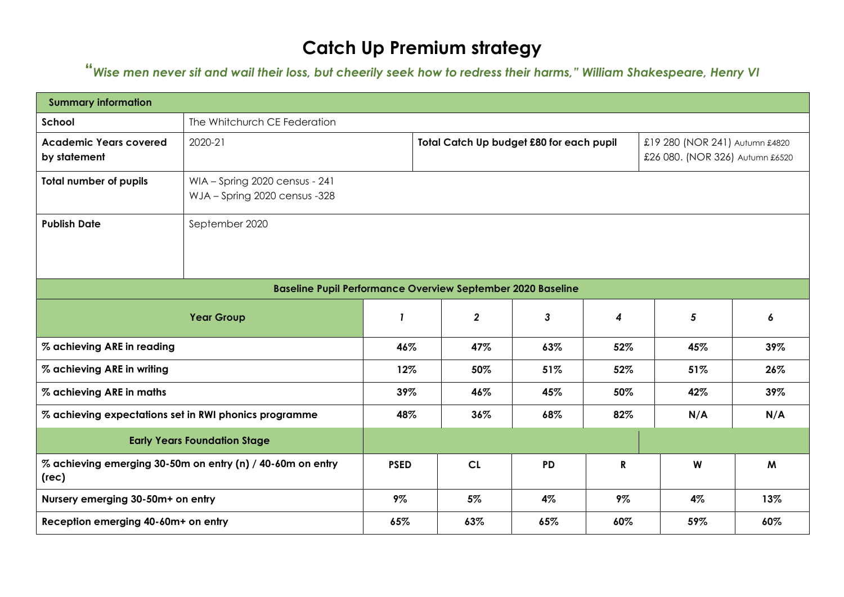# **Catch Up Premium strategy**

**"***Wise men never sit and wail their loss, but cheerily seek how to redress their harms," William Shakespeare, Henry VI*

| <b>Summary information</b>                            |                                                                    |              |                         |                                          |                  |                                                                   |     |
|-------------------------------------------------------|--------------------------------------------------------------------|--------------|-------------------------|------------------------------------------|------------------|-------------------------------------------------------------------|-----|
| School                                                | The Whitchurch CE Federation                                       |              |                         |                                          |                  |                                                                   |     |
| <b>Academic Years covered</b><br>by statement         | 2020-21                                                            |              |                         | Total Catch Up budget £80 for each pupil |                  | £19 280 (NOR 241) Autumn £4820<br>£26 080. (NOR 326) Autumn £6520 |     |
| <b>Total number of pupils</b>                         | WIA - Spring 2020 census - 241<br>WJA - Spring 2020 census -328    |              |                         |                                          |                  |                                                                   |     |
| <b>Publish Date</b>                                   | September 2020                                                     |              |                         |                                          |                  |                                                                   |     |
|                                                       | <b>Baseline Pupil Performance Overview September 2020 Baseline</b> |              |                         |                                          |                  |                                                                   |     |
|                                                       | <b>Year Group</b>                                                  | $\mathbf{I}$ | $\overline{\mathbf{2}}$ | $\mathbf{3}$                             | $\boldsymbol{4}$ | 5                                                                 | 6   |
| % achieving ARE in reading                            |                                                                    | 46%          | 47%                     | 63%                                      | 52%              | 45%                                                               | 39% |
| % achieving ARE in writing                            |                                                                    | 12%          | 50%                     | 51%                                      | 52%              | 51%                                                               | 26% |
| % achieving ARE in maths                              |                                                                    | 39%          | 46%                     | 45%                                      | 50%              | 42%                                                               | 39% |
| % achieving expectations set in RWI phonics programme |                                                                    | 48%          | 36%                     | 68%                                      | 82%              | N/A                                                               | N/A |
|                                                       | <b>Early Years Foundation Stage</b>                                |              |                         |                                          |                  |                                                                   |     |
| (rec)                                                 | % achieving emerging 30-50m on entry (n) / 40-60m on entry         | <b>PSED</b>  | CL                      | <b>PD</b>                                | $\mathbf R$      | W                                                                 | M   |
| Nursery emerging 30-50m+ on entry                     |                                                                    | 9%           | 5%                      | 4%                                       | 9%               | 4%                                                                | 13% |
| Reception emerging 40-60m+ on entry                   |                                                                    | 65%          | 63%                     | 65%                                      | 60%              | 59%                                                               | 60% |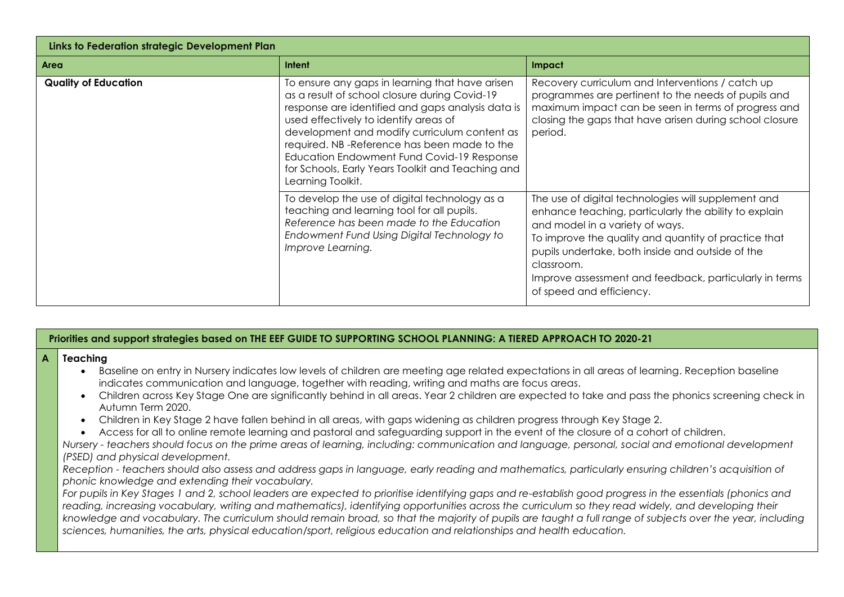| Links to Federation strategic Development Plan |                                                                                                                                                                                                                                                                                                                                                                                                                       |                                                                                                                                                                                                                                                                                                                                                                 |
|------------------------------------------------|-----------------------------------------------------------------------------------------------------------------------------------------------------------------------------------------------------------------------------------------------------------------------------------------------------------------------------------------------------------------------------------------------------------------------|-----------------------------------------------------------------------------------------------------------------------------------------------------------------------------------------------------------------------------------------------------------------------------------------------------------------------------------------------------------------|
| Area                                           | Intent                                                                                                                                                                                                                                                                                                                                                                                                                | Impact                                                                                                                                                                                                                                                                                                                                                          |
| <b>Quality of Education</b>                    | To ensure any gaps in learning that have arisen<br>as a result of school closure during Covid-19<br>response are identified and gaps analysis data is<br>used effectively to identify areas of<br>development and modify curriculum content as<br>required. NB-Reference has been made to the<br>Education Endowment Fund Covid-19 Response<br>for Schools, Early Years Toolkit and Teaching and<br>Learning Toolkit. | Recovery curriculum and Interventions / catch up<br>programmes are pertinent to the needs of pupils and<br>maximum impact can be seen in terms of progress and<br>closing the gaps that have arisen during school closure<br>period.                                                                                                                            |
|                                                | To develop the use of digital technology as a<br>teaching and learning tool for all pupils.<br>Reference has been made to the Education<br>Endowment Fund Using Digital Technology to<br>Improve Learning.                                                                                                                                                                                                            | The use of digital technologies will supplement and<br>enhance teaching, particularly the ability to explain<br>and model in a variety of ways.<br>To improve the quality and quantity of practice that<br>pupils undertake, both inside and outside of the<br>classroom.<br>Improve assessment and feedback, particularly in terms<br>of speed and efficiency. |

#### **Priorities and support strategies based on THE EEF GUIDE TO SUPPORTING SCHOOL PLANNING: A TIERED APPROACH TO 2020-21**

## **A** Teaching

- Baseline on entry in Nursery indicates low levels of children are meeting age related expectations in all areas of learning. Reception baseline indicates communication and language, together with reading, writing and maths are focus areas.
- Children across Key Stage One are significantly behind in all areas. Year 2 children are expected to take and pass the phonics screening check in Autumn Term 2020.
- Children in Key Stage 2 have fallen behind in all areas, with gaps widening as children progress through Key Stage 2.
- Access for all to online remote learning and pastoral and safeguarding support in the event of the closure of a cohort of children.

*Nursery - teachers should focus on the prime areas of learning, including: communication and language, personal, social and emotional development (PSED) and physical development.*

*Reception - teachers should also assess and address gaps in language, early reading and mathematics, particularly ensuring children's acquisition of phonic knowledge and extending their vocabulary.*

*For pupils in Key Stages 1 and 2, school leaders are expected to prioritise identifying gaps and re-establish good progress in the essentials (phonics and*  reading, increasing vocabulary, writing and mathematics), identifying opportunities across the curriculum so they read widely, and developing their *knowledge and vocabulary. The curriculum should remain broad, so that the majority of pupils are taught a full range of subjects over the year, including sciences, humanities, the arts, physical education/sport, religious education and relationships and health education.*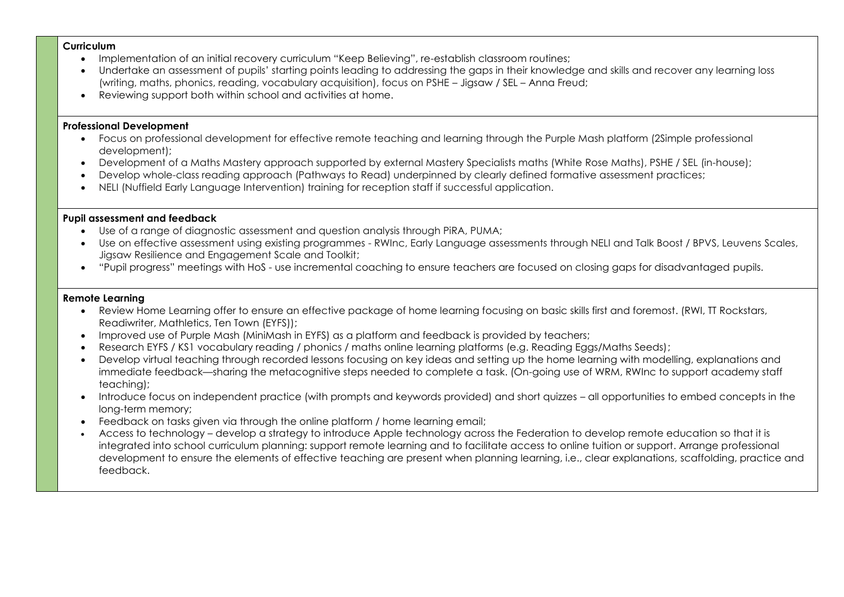#### **Curriculum**

- Implementation of an initial recovery curriculum "Keep Believina", re-establish classroom routines;
- Undertake an assessment of pupils' starting points leading to addressing the gaps in their knowledge and skills and recover any learning loss (writing, maths, phonics, reading, vocabulary acquisition), focus on PSHE – Jigsaw / SEL – Anna Freud;
- Reviewing support both within school and activities at home.

#### **Professional Development**

- Focus on professional development for effective remote teaching and learning through the Purple Mash platform (2Simple professional development);
- Development of a Maths Mastery approach supported by external Mastery Specialists maths (White Rose Maths), PSHE / SEL (in-house);
- Develop whole-class reading approach (Pathways to Read) underpinned by clearly defined formative assessment practices;
- NELI (Nuffield Early Language Intervention) training for reception staff if successful application.

### **Pupil assessment and feedback**

- Use of a range of diagnostic assessment and question analysis through PiRA, PUMA;
- Use on effective assessment using existing programmes RWInc, Early Language assessments through NELI and Talk Boost / BPVS, Leuvens Scales, Jigsaw Resilience and Engagement Scale and Toolkit;
- "Pupil progress" meetings with HoS use incremental coaching to ensure teachers are focused on closing gaps for disadvantaged pupils.

#### **Remote Learning**

- Review Home Learning offer to ensure an effective package of home learning focusing on basic skills first and foremost. (RWI, TT Rockstars, Readiwriter, Mathletics, Ten Town (EYFS));
- Improved use of Purple Mash (MiniMash in EYFS) as a platform and feedback is provided by teachers;
- Research EYFS / KS1 vocabulary reading / phonics / maths online learning platforms (e.g. Reading Eggs/Maths Seeds);
- Develop virtual teaching through recorded lessons focusing on key ideas and setting up the home learning with modelling, explanations and immediate feedback—sharing the metacognitive steps needed to complete a task. (On-going use of WRM, RWInc to support academy staff teaching);
- Introduce focus on independent practice (with prompts and keywords provided) and short quizzes all opportunities to embed concepts in the long-term memory;
- Feedback on tasks given via through the online platform / home learning email;
- Access to technology develop a strategy to introduce Apple technology across the Federation to develop remote education so that it is integrated into school curriculum planning: support remote learning and to facilitate access to online tuition or support. Arrange professional development to ensure the elements of effective teaching are present when planning learning, i.e., clear explanations, scaffolding, practice and feedback.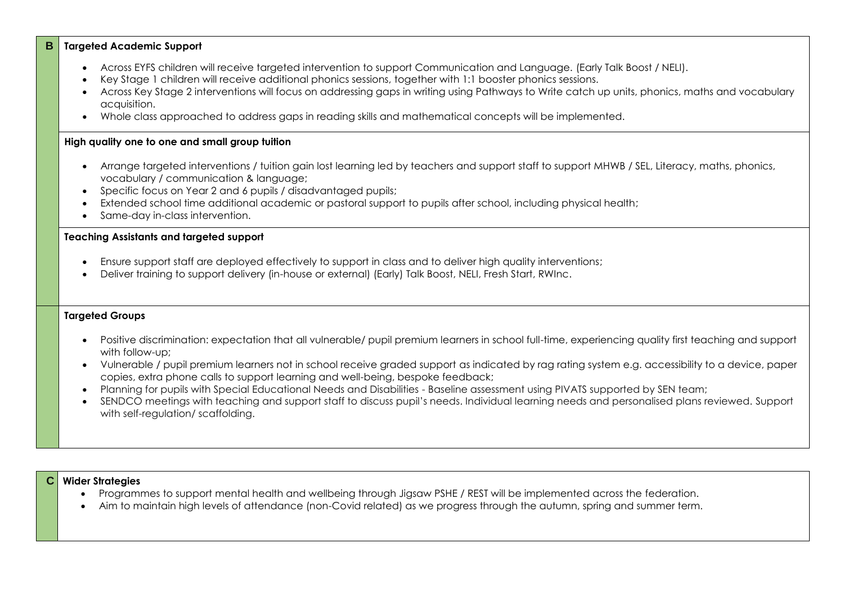#### **B Targeted Academic Support**

- Across EYFS children will receive targeted intervention to support Communication and Language. (Early Talk Boost / NELI).
- Key Stage 1 children will receive additional phonics sessions, together with 1:1 booster phonics sessions.
- Across Key Stage 2 interventions will focus on addressing gaps in writing using Pathways to Write catch up units, phonics, maths and vocabulary acquisition.
- Whole class approached to address gaps in reading skills and mathematical concepts will be implemented.

#### **High quality one to one and small group tuition**

- Arrange targeted interventions / tuition gain lost learning led by teachers and support staff to support MHWB / SEL, Literacy, maths, phonics, vocabulary / communication & language;
- Specific focus on Year 2 and 6 pupils / disadvantaged pupils;
- Extended school time additional academic or pastoral support to pupils after school, including physical health;
- Same-day in-class intervention.

#### **Teaching Assistants and targeted support**

- Ensure support staff are deployed effectively to support in class and to deliver high quality interventions;
- Deliver training to support delivery (in-house or external) (Early) Talk Boost, NELI, Fresh Start, RWInc.

#### **Targeted Groups**

- Positive discrimination: expectation that all vulnerable/ pupil premium learners in school full-time, experiencing quality first teaching and support with follow-up;
- Vulnerable / pupil premium learners not in school receive graded support as indicated by rag rating system e.g. accessibility to a device, paper copies, extra phone calls to support learning and well-being, bespoke feedback;
- Planning for pupils with Special Educational Needs and Disabilities Baseline assessment using PIVATS supported by SEN team;
- SENDCO meetings with teaching and support staff to discuss pupil's needs. Individual learning needs and personalised plans reviewed. Support with self-regulation/ scaffolding.

#### **C Wider Strategies**

- Programmes to support mental health and wellbeing through Jigsaw PSHE / REST will be implemented across the federation.
- Aim to maintain high levels of attendance (non-Covid related) as we progress through the autumn, spring and summer term.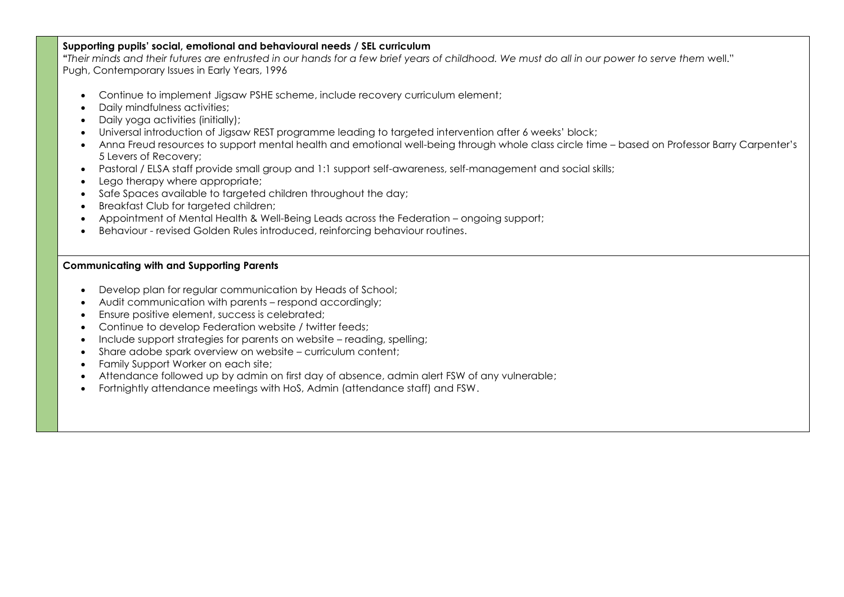#### **Supporting pupils' social, emotional and behavioural needs / SEL curriculum**

**"***Their minds and their futures are entrusted in our hands for a few brief years of childhood. We must do all in our power to serve them* well." Pugh, Contemporary Issues in Early Years, 1996

- Continue to implement Jigsaw PSHE scheme, include recovery curriculum element;
- Daily mindfulness activities;
- Daily yoga activities (initially);
- Universal introduction of Jigsaw REST programme leading to targeted intervention after 6 weeks' block;
- Anna Freud resources to support mental health and emotional well-being through whole class circle time based on Professor Barry Carpenter's 5 Levers of Recovery;
- Pastoral / ELSA staff provide small group and 1:1 support self-awareness, self-management and social skills;
- Lego therapy where appropriate:
- Safe Spaces available to targeted children throughout the day;
- Breakfast Club for targeted children;
- Appointment of Mental Health & Well-Being Leads across the Federation ongoing support;
- Behaviour revised Golden Rules introduced, reinforcing behaviour routines.

#### **Communicating with and Supporting Parents**

- Develop plan for regular communication by Heads of School;
- Audit communication with parents respond accordingly;
- Ensure positive element, success is celebrated;
- Continue to develop Federation website / twitter feeds;
- Include support strategies for parents on website reading, spelling;
- Share adobe spark overview on website curriculum content;
- Family Support Worker on each site;
- Attendance followed up by admin on first day of absence, admin alert FSW of any vulnerable;
- Fortnightly attendance meetings with HoS, Admin (attendance staff) and FSW.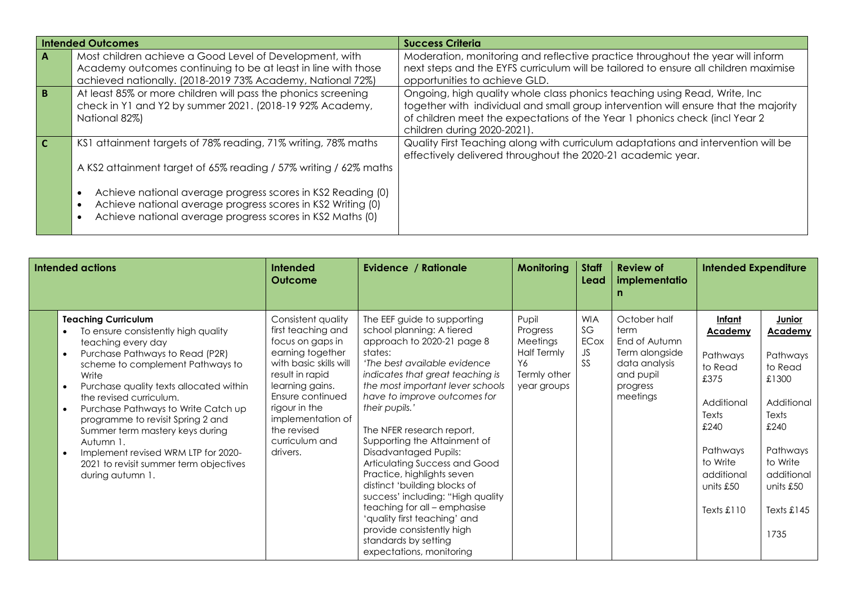|    | <b>Intended Outcomes</b>                                                                                                                                                                | <b>Success Criteria</b>                                                                                                                                                                                                                                                       |
|----|-----------------------------------------------------------------------------------------------------------------------------------------------------------------------------------------|-------------------------------------------------------------------------------------------------------------------------------------------------------------------------------------------------------------------------------------------------------------------------------|
| A  | Most children achieve a Good Level of Development, with<br>Academy outcomes continuing to be at least in line with those<br>achieved nationally. (2018-2019 73% Academy, National 72%)  | Moderation, monitoring and reflective practice throughout the year will inform<br>next steps and the EYFS curriculum will be tailored to ensure all children maximise<br>opportunities to achieve GLD.                                                                        |
| B. | At least 85% or more children will pass the phonics screening<br>check in Y1 and Y2 by summer 2021. (2018-19 92% Academy,<br>National 82%)                                              | Ongoing, high quality whole class phonics teaching using Read, Write, Inc<br>together with individual and small group intervention will ensure that the majority<br>of children meet the expectations of the Year 1 phonics check (incl Year 2<br>children during 2020-2021). |
|    | KS1 attainment targets of 78% reading, 71% writing, 78% maths<br>A KS2 attainment target of 65% reading / 57% writing / 62% maths                                                       | Quality First Teaching along with curriculum adaptations and intervention will be<br>effectively delivered throughout the 2020-21 academic year.                                                                                                                              |
|    | Achieve national average progress scores in KS2 Reading (0)<br>Achieve national average progress scores in KS2 Writing (0)<br>Achieve national average progress scores in KS2 Maths (0) |                                                                                                                                                                                                                                                                               |

| Intended actions                                                                                                                                                                                                                                                                                                                                                                                                                                                                                                                   | <b>Intended</b><br><b>Outcome</b>                                                                                                                                                                                                                       | Evidence / Rationale                                                                                                                                                                                                                                                                                                                                                                                                                                                                                                                                                                                                                          | Monitoring                                                                               | <b>Staff</b><br>Lead                        | <b>Review of</b><br>implementatio                                                                             | <b>Intended Expenditure</b>                                                                                                                                    |                                                                                                                                                                           |
|------------------------------------------------------------------------------------------------------------------------------------------------------------------------------------------------------------------------------------------------------------------------------------------------------------------------------------------------------------------------------------------------------------------------------------------------------------------------------------------------------------------------------------|---------------------------------------------------------------------------------------------------------------------------------------------------------------------------------------------------------------------------------------------------------|-----------------------------------------------------------------------------------------------------------------------------------------------------------------------------------------------------------------------------------------------------------------------------------------------------------------------------------------------------------------------------------------------------------------------------------------------------------------------------------------------------------------------------------------------------------------------------------------------------------------------------------------------|------------------------------------------------------------------------------------------|---------------------------------------------|---------------------------------------------------------------------------------------------------------------|----------------------------------------------------------------------------------------------------------------------------------------------------------------|---------------------------------------------------------------------------------------------------------------------------------------------------------------------------|
| <b>Teaching Curriculum</b><br>To ensure consistently high quality<br>teaching every day<br>Purchase Pathways to Read (P2R)<br>$\bullet$<br>scheme to complement Pathways to<br>Write<br>Purchase quality texts allocated within<br>$\bullet$<br>the revised curriculum.<br>Purchase Pathways to Write Catch up<br>$\bullet$<br>programme to revisit Spring 2 and<br>Summer term mastery keys during<br>Autumn 1.<br>Implement revised WRM LTP for 2020-<br>$\bullet$<br>2021 to revisit summer term objectives<br>during autumn 1. | Consistent quality<br>first teaching and<br>focus on gaps in<br>earning together<br>with basic skills will<br>result in rapid<br>learning gains.<br>Ensure continued<br>rigour in the<br>implementation of<br>the revised<br>curriculum and<br>drivers. | The EEF guide to supporting<br>school planning: A tiered<br>approach to 2020-21 page 8<br>states:<br>'The best available evidence<br>indicates that great teaching is<br>the most important lever schools<br>have to improve outcomes for<br>their pupils.'<br>The NFER research report,<br>Supporting the Attainment of<br><b>Disadvantaged Pupils:</b><br>Articulating Success and Good<br>Practice, highlights seven<br>distinct 'building blocks of<br>success' including: "High quality<br>teaching for all - emphasise<br>'quality first teaching' and<br>provide consistently high<br>standards by setting<br>expectations, monitoring | Pupil<br>Progress<br>Meetings<br><b>Half Termly</b><br>Y6<br>Termly other<br>year groups | <b>WIA</b><br>SG<br>ECox<br>JS<br><b>SS</b> | October half<br>term<br>End of Autumn<br>Term alongside<br>data analysis<br>and pupil<br>progress<br>meetings | <u>Infant</u><br><b>Academy</b><br>Pathways<br>to Read<br>£375<br>Additional<br>Texts<br>£240<br>Pathways<br>to Write<br>additional<br>units £50<br>Texts £110 | <b>Junior</b><br><b>Academy</b><br>Pathways<br>to Read<br>£1300<br>Additional<br>Texts<br>£240<br>Pathways<br>to Write<br>additional<br>units £50<br>Texts $£145$<br>1735 |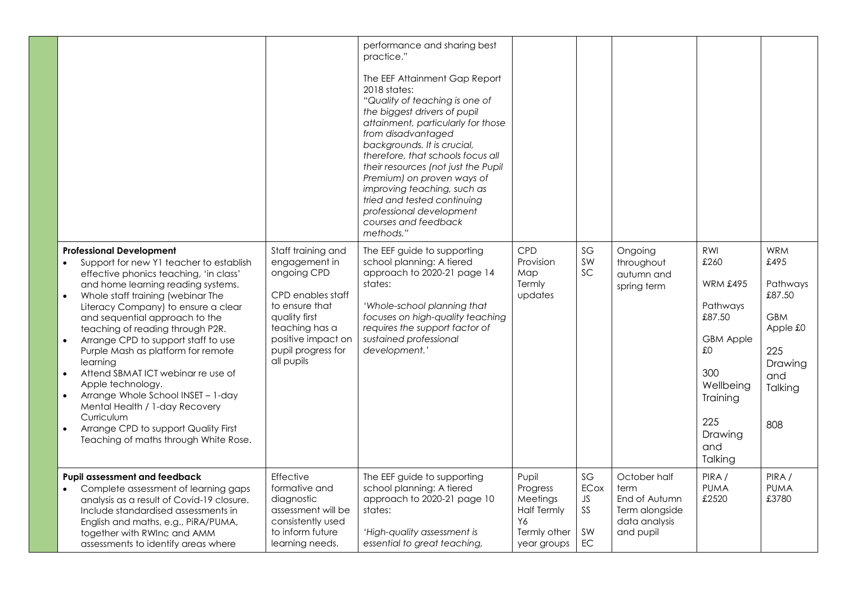|                                                                                                                                                                                                                                                                                                                                                                                                                                                                                                                                                                               |                                                                                                                         |                                                                                                                                                                                        | performance and sharing best<br>practice."<br>The EEF Attainment Gap Report<br>2018 states:<br>"Quality of teaching is one of<br>the biggest drivers of pupil<br>attainment, particularly for those<br>from disadvantaged<br>backgrounds. It is crucial,<br>therefore, that schools focus all<br>their resources (not just the Pupil<br>Premium) on proven ways of<br>improving teaching, such as<br>tried and tested continuing<br>professional development<br>courses and feedback<br>methods." |                                                                                                 |                                           |                                                                                       |                                                                                                                                                    |                                                                                                               |
|-------------------------------------------------------------------------------------------------------------------------------------------------------------------------------------------------------------------------------------------------------------------------------------------------------------------------------------------------------------------------------------------------------------------------------------------------------------------------------------------------------------------------------------------------------------------------------|-------------------------------------------------------------------------------------------------------------------------|----------------------------------------------------------------------------------------------------------------------------------------------------------------------------------------|---------------------------------------------------------------------------------------------------------------------------------------------------------------------------------------------------------------------------------------------------------------------------------------------------------------------------------------------------------------------------------------------------------------------------------------------------------------------------------------------------|-------------------------------------------------------------------------------------------------|-------------------------------------------|---------------------------------------------------------------------------------------|----------------------------------------------------------------------------------------------------------------------------------------------------|---------------------------------------------------------------------------------------------------------------|
| <b>Professional Development</b><br>effective phonics teaching, 'in class'<br>and home learning reading systems.<br>Whole staff training (webinar The<br>$\bullet$<br>and sequential approach to the<br>teaching of reading through P2R.<br>Arrange CPD to support staff to use<br>$\bullet$<br>Purple Mash as platform for remote<br>learning<br>Attend SBMAT ICT webinar re use of<br>$\bullet$<br>Apple technology.<br>Arrange Whole School INSET - 1-day<br>$\bullet$<br>Mental Health / 1-day Recovery<br>Curriculum<br>Arrange CPD to support Quality First<br>$\bullet$ | Support for new Y1 teacher to establish<br>Literacy Company) to ensure a clear<br>Teaching of maths through White Rose. | Staff training and<br>engagement in<br>ongoing CPD<br>CPD enables staff<br>to ensure that<br>quality first<br>teaching has a<br>positive impact on<br>pupil progress for<br>all pupils | The EEF guide to supporting<br>school planning: A tiered<br>approach to 2020-21 page 14<br>states:<br>'Whole-school planning that<br>focuses on high-quality teaching<br>requires the support factor of<br>sustained professional<br>development.'                                                                                                                                                                                                                                                | <b>CPD</b><br>Provision<br>Map<br>Termly<br>updates                                             | SG<br>SW<br>SC                            | Ongoing<br>throughout<br>autumn and<br>spring term                                    | RWI<br>£260<br><b>WRM £495</b><br>Pathways<br>£87.50<br><b>GBM Apple</b><br>£0<br>300<br>Wellbeing<br>Training<br>225<br>Drawing<br>and<br>Talking | <b>WRM</b><br>£495<br>Pathways<br>£87.50<br><b>GBM</b><br>Apple £0<br>225<br>Drawing<br>and<br>Talking<br>808 |
| Pupil assessment and feedback<br>$\bullet$<br>Include standardised assessments in<br>English and maths, e.g., PIRA/PUMA,<br>together with RWInc and AMM<br>assessments to identify areas where                                                                                                                                                                                                                                                                                                                                                                                | Complete assessment of learning gaps<br>analysis as a result of Covid-19 closure.                                       | Effective<br>formative and<br>diagnostic<br>assessment will be<br>consistently used<br>to inform future<br>learning needs.                                                             | The EEF guide to supporting<br>school planning: A tiered<br>approach to 2020-21 page 10<br>states:<br>'High-quality assessment is<br>essential to great teaching,                                                                                                                                                                                                                                                                                                                                 | Pupil<br>Progress<br>Meetings<br><b>Half Termly</b><br><b>Y6</b><br>Termly other<br>year groups | SG<br><b>ECox</b><br>JS<br>SS<br>SW<br>EC | October half<br>term<br>End of Autumn<br>Term alongside<br>data analysis<br>and pupil | PIRA /<br><b>PUMA</b><br>£2520                                                                                                                     | PIRA/<br><b>PUMA</b><br>£3780                                                                                 |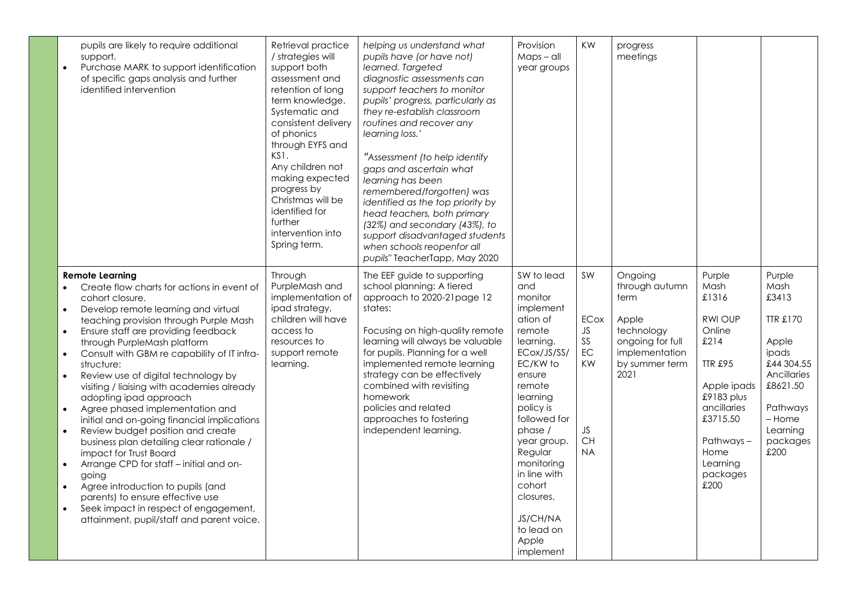| pupils are likely to require additional<br>support.<br>Purchase MARK to support identification<br>$\bullet$<br>of specific gaps analysis and further<br>identified intervention                                                                                                                                                                                                                                                                                                                                                                                                                                                                                                                                                                                                                                                                                                                              | Retrieval practice<br>/ strategies will<br>support both<br>assessment and<br>retention of long<br>term knowledge.<br>Systematic and<br>consistent delivery<br>of phonics<br>through EYFS and<br>KS1.<br>Any children not<br>making expected<br>progress by<br>Christmas will be<br>identified for<br>further<br>intervention into<br>Spring term. | helping us understand what<br>pupils have (or have not)<br>learned. Targeted<br>diagnostic assessments can<br>support teachers to monitor<br>pupils' progress, particularly as<br>they re-establish classroom<br>routines and recover any<br>learning loss.'<br>"Assessment (to help identify<br>gaps and ascertain what<br>learning has been<br>remembered/forgotten) was<br>identified as the top priority by<br>head teachers, both primary<br>(32%) and secondary (43%), to<br>support disadvantaged students<br>when schools reopenfor all<br>pupils" TeacherTapp, May 2020 | Provision<br>$Maps - all$<br>year groups                                                                                                                                                                                                                                                                       | KW                                                                              | progress<br>meetings                                                                                                     |                                                                                                                                                                                            |                                                                                                                                                      |
|--------------------------------------------------------------------------------------------------------------------------------------------------------------------------------------------------------------------------------------------------------------------------------------------------------------------------------------------------------------------------------------------------------------------------------------------------------------------------------------------------------------------------------------------------------------------------------------------------------------------------------------------------------------------------------------------------------------------------------------------------------------------------------------------------------------------------------------------------------------------------------------------------------------|---------------------------------------------------------------------------------------------------------------------------------------------------------------------------------------------------------------------------------------------------------------------------------------------------------------------------------------------------|----------------------------------------------------------------------------------------------------------------------------------------------------------------------------------------------------------------------------------------------------------------------------------------------------------------------------------------------------------------------------------------------------------------------------------------------------------------------------------------------------------------------------------------------------------------------------------|----------------------------------------------------------------------------------------------------------------------------------------------------------------------------------------------------------------------------------------------------------------------------------------------------------------|---------------------------------------------------------------------------------|--------------------------------------------------------------------------------------------------------------------------|--------------------------------------------------------------------------------------------------------------------------------------------------------------------------------------------|------------------------------------------------------------------------------------------------------------------------------------------------------|
| <b>Remote Learning</b><br>Create flow charts for actions in event of<br>cohort closure.<br>Develop remote learning and virtual<br>$\bullet$<br>teaching provision through Purple Mash<br>Ensure staff are providing feedback<br>$\bullet$<br>through PurpleMash platform<br>Consult with GBM re capability of IT infra-<br>$\bullet$<br>structure:<br>Review use of digital technology by<br>visiting / liaising with academies already<br>adopting ipad approach<br>Agree phased implementation and<br>initial and on-going financial implications<br>Review budget position and create<br>$\bullet$<br>business plan detailing clear rationale /<br>impact for Trust Board<br>Arrange CPD for staff - initial and on-<br>going<br>Agree introduction to pupils (and<br>parents) to ensure effective use<br>Seek impact in respect of engagement,<br>$\bullet$<br>attainment, pupil/staff and parent voice. | Through<br>PurpleMash and<br>implementation of<br>ipad strategy,<br>children will have<br>access to<br>resources to<br>support remote<br>learning.                                                                                                                                                                                                | The EEF guide to supporting<br>school planning: A tiered<br>approach to 2020-21 page 12<br>states:<br>Focusing on high-quality remote<br>learning will always be valuable<br>for pupils. Planning for a well<br>implemented remote learning<br>strategy can be effectively<br>combined with revisiting<br>homework<br>policies and related<br>approaches to fostering<br>independent learning.                                                                                                                                                                                   | SW to lead<br>and<br>monitor<br>implement<br>ation of<br>remote<br>learning.<br>ECox/JS/SS/<br>EC/KW to<br>ensure<br>remote<br>learning<br>policy is<br>followed for<br>phase /<br>year group.<br>Regular<br>monitoring<br>in line with<br>cohort<br>closures.<br>JS/CH/NA<br>to lead on<br>Apple<br>implement | SW<br>ECox<br>JS<br>$SS$<br>$\mathsf{EC}$<br>KW<br>JS<br><b>CH</b><br><b>NA</b> | Ongoing<br>through autumn<br>term<br>Apple<br>technology<br>ongoing for full<br>implementation<br>by summer term<br>2021 | Purple<br>Mash<br>£1316<br><b>RWI OUP</b><br>Online<br>£214<br><b>TTR £95</b><br>Apple ipads<br>£9183 plus<br>ancillaries<br>£3715.50<br>Pathways-<br>Home<br>Learning<br>packages<br>£200 | Purple<br>Mash<br>£3413<br>TTR £170<br>Apple<br>ipads<br>£44 304.55<br>Ancillaries<br>£8621.50<br>Pathways<br>- Home<br>Learning<br>packages<br>£200 |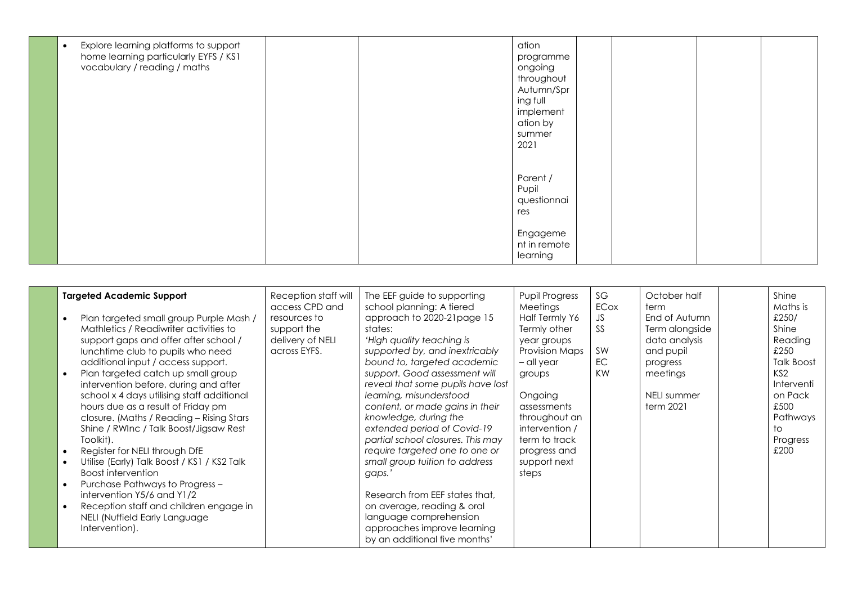| Explore learning platforms to support<br>$\bullet$<br>home learning particularly EYFS / KS1<br>vocabulary / reading / maths | ation<br>programme<br>ongoing<br>throughout<br>Autumn/Spr<br>ing full<br>implement<br>ation by<br>summer<br>2021 |
|-----------------------------------------------------------------------------------------------------------------------------|------------------------------------------------------------------------------------------------------------------|
|                                                                                                                             | Parent /<br>Pupil<br>questionnai<br>res<br>Engageme                                                              |
|                                                                                                                             | nt in remote<br>learning                                                                                         |

| <b>Targeted Academic Support</b><br>Plan targeted small group Purple Mash /<br>Mathletics / Readiwriter activities to<br>support gaps and offer after school/<br>lunchtime club to pupils who need<br>additional input / access support.<br>Plan targeted catch up small group<br>intervention before, during and after<br>school x 4 days utilising staff additional<br>hours due as a result of Friday pm<br>closure. (Maths / Reading - Rising Stars<br>Shine / RWInc / Talk Boost/Jigsaw Rest<br>Toolkit).<br>Register for NELI through DfE<br>$\bullet$<br>Utilise (Early) Talk Boost / KS1 / KS2 Talk<br>$\bullet$<br>Boost intervention<br>Purchase Pathways to Progress -<br>$\bullet$<br>intervention Y5/6 and Y1/2<br>Reception staff and children engage in<br>NELI (Nuffield Early Language<br>Intervention). | Reception staff will<br>access CPD and<br>resources to<br>support the<br>delivery of NELI<br>across EYFS. | The EEF guide to supporting<br>school planning: A tiered<br>approach to 2020-21 page 15<br>states:<br>'High quality teaching is<br>supported by, and inextricably<br>bound to, targeted academic<br>support. Good assessment will<br>reveal that some pupils have lost<br>learning, misunderstood<br>content, or made gains in their<br>knowledge, during the<br>extended period of Covid-19<br>partial school closures. This may<br>require targeted one to one or<br>small group tuition to address<br>gaps.'<br>Research from EEF states that,<br>on average, reading & oral<br>language comprehension<br>approaches improve learning<br>by an additional five months' | <b>Pupil Progress</b><br>Meetings<br>Half Termly Y6<br>Termly other<br>year groups<br>Provision Maps<br>- all year<br>groups<br>Ongoing<br>assessments<br>throughout an<br>intervention /<br>term to track<br>progress and<br>support next<br>steps | SG<br>ECox<br>JS<br>SS<br>SW<br>EC<br>KW | October half<br>term<br>End of Autumn<br>Term alongside<br>data analysis<br>and pupil<br>progress<br>meetings<br>NELI summer<br>term 2021 |  | Shine<br>Maths is<br>£250/<br>Shine<br>Reading<br>£250<br><b>Talk Boost</b><br>KS <sub>2</sub><br>Interventi<br>on Pack<br>£500<br>Pathways<br>to<br>Progress<br>£200 |
|---------------------------------------------------------------------------------------------------------------------------------------------------------------------------------------------------------------------------------------------------------------------------------------------------------------------------------------------------------------------------------------------------------------------------------------------------------------------------------------------------------------------------------------------------------------------------------------------------------------------------------------------------------------------------------------------------------------------------------------------------------------------------------------------------------------------------|-----------------------------------------------------------------------------------------------------------|---------------------------------------------------------------------------------------------------------------------------------------------------------------------------------------------------------------------------------------------------------------------------------------------------------------------------------------------------------------------------------------------------------------------------------------------------------------------------------------------------------------------------------------------------------------------------------------------------------------------------------------------------------------------------|-----------------------------------------------------------------------------------------------------------------------------------------------------------------------------------------------------------------------------------------------------|------------------------------------------|-------------------------------------------------------------------------------------------------------------------------------------------|--|-----------------------------------------------------------------------------------------------------------------------------------------------------------------------|
|---------------------------------------------------------------------------------------------------------------------------------------------------------------------------------------------------------------------------------------------------------------------------------------------------------------------------------------------------------------------------------------------------------------------------------------------------------------------------------------------------------------------------------------------------------------------------------------------------------------------------------------------------------------------------------------------------------------------------------------------------------------------------------------------------------------------------|-----------------------------------------------------------------------------------------------------------|---------------------------------------------------------------------------------------------------------------------------------------------------------------------------------------------------------------------------------------------------------------------------------------------------------------------------------------------------------------------------------------------------------------------------------------------------------------------------------------------------------------------------------------------------------------------------------------------------------------------------------------------------------------------------|-----------------------------------------------------------------------------------------------------------------------------------------------------------------------------------------------------------------------------------------------------|------------------------------------------|-------------------------------------------------------------------------------------------------------------------------------------------|--|-----------------------------------------------------------------------------------------------------------------------------------------------------------------------|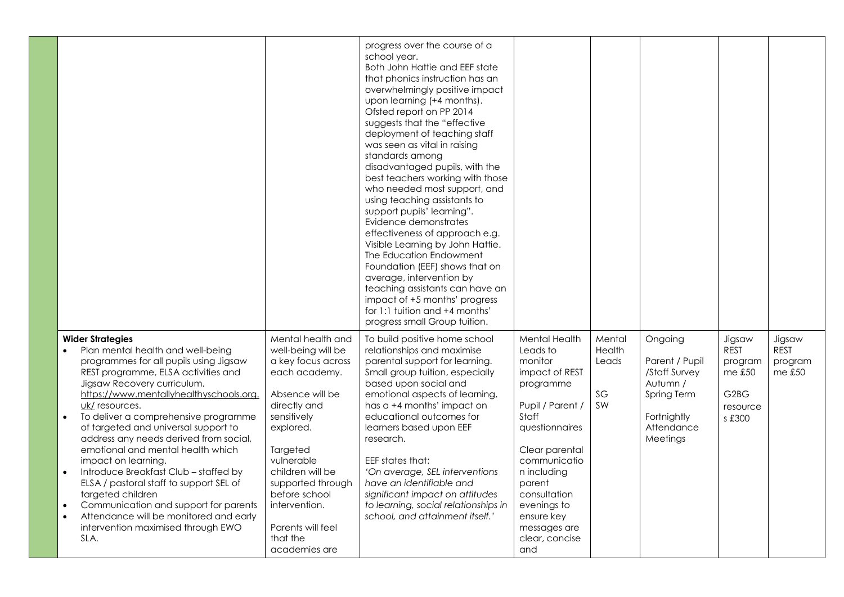|                                                                                                                                                                                                                                                                                                                                                                                                                                                                                                                                                                                                                                                                                                                  |                                                                                                                                                                                                                                                                                                      | progress over the course of a<br>school year.<br>Both John Hattie and EEF state<br>that phonics instruction has an<br>overwhelmingly positive impact<br>upon learning (+4 months).<br>Ofsted report on PP 2014<br>suggests that the "effective<br>deployment of teaching staff<br>was seen as vital in raising<br>standards among<br>disadvantaged pupils, with the<br>best teachers working with those<br>who needed most support, and<br>using teaching assistants to<br>support pupils' learning".<br>Evidence demonstrates<br>effectiveness of approach e.g.<br>Visible Learning by John Hattie.<br>The Education Endowment<br>Foundation (EEF) shows that on<br>average, intervention by<br>teaching assistants can have an<br>impact of +5 months' progress<br>for 1:1 tuition and +4 months'<br>progress small Group tuition. |                                                                                                                                                                                                                                                                            |                                              |                                                                                                                |                                                                                                   |                                           |
|------------------------------------------------------------------------------------------------------------------------------------------------------------------------------------------------------------------------------------------------------------------------------------------------------------------------------------------------------------------------------------------------------------------------------------------------------------------------------------------------------------------------------------------------------------------------------------------------------------------------------------------------------------------------------------------------------------------|------------------------------------------------------------------------------------------------------------------------------------------------------------------------------------------------------------------------------------------------------------------------------------------------------|--------------------------------------------------------------------------------------------------------------------------------------------------------------------------------------------------------------------------------------------------------------------------------------------------------------------------------------------------------------------------------------------------------------------------------------------------------------------------------------------------------------------------------------------------------------------------------------------------------------------------------------------------------------------------------------------------------------------------------------------------------------------------------------------------------------------------------------|----------------------------------------------------------------------------------------------------------------------------------------------------------------------------------------------------------------------------------------------------------------------------|----------------------------------------------|----------------------------------------------------------------------------------------------------------------|---------------------------------------------------------------------------------------------------|-------------------------------------------|
| <b>Wider Strategies</b><br>Plan mental health and well-being<br>programmes for all pupils using Jigsaw<br>REST programme, ELSA activities and<br>Jigsaw Recovery curriculum.<br>https://www.mentallyhealthyschools.org.<br>uk/ resources.<br>To deliver a comprehensive programme<br>$\bullet$<br>of targeted and universal support to<br>address any needs derived from social,<br>emotional and mental health which<br>impact on learning.<br>Introduce Breakfast Club - staffed by<br>$\bullet$<br>ELSA / pastoral staff to support SEL of<br>targeted children<br>Communication and support for parents<br>Attendance will be monitored and early<br>$\bullet$<br>intervention maximised through EWO<br>SLA. | Mental health and<br>well-being will be<br>a key focus across<br>each academy.<br>Absence will be<br>directly and<br>sensitively<br>explored.<br>Targeted<br>vulnerable<br>children will be<br>supported through<br>before school<br>intervention.<br>Parents will feel<br>that the<br>academies are | To build positive home school<br>relationships and maximise<br>parental support for learning.<br>Small group tuition, especially<br>based upon social and<br>emotional aspects of learning,<br>has a +4 months' impact on<br>educational outcomes for<br>learners based upon EEF<br>research.<br>EEF states that:<br>'On average, SEL interventions<br>have an identifiable and<br>significant impact on attitudes<br>to learning, social relationships in<br>school, and attainment itself.'                                                                                                                                                                                                                                                                                                                                        | <b>Mental Health</b><br>Leads to<br>monitor<br>impact of REST<br>programme<br>Pupil / Parent /<br>Staff<br>questionnaires<br>Clear parental<br>communicatio<br>n including<br>parent<br>consultation<br>evenings to<br>ensure key<br>messages are<br>clear, concise<br>and | Mental<br><b>Health</b><br>Leads<br>SG<br>SW | Ongoing<br>Parent / Pupil<br>/Staff Survey<br>Autumn /<br>Spring Term<br>Fortnightly<br>Attendance<br>Meetings | Jigsaw<br><b>REST</b><br>program<br>me £50<br>G <sub>2</sub> B <sub>G</sub><br>resource<br>s £300 | Jigsaw<br><b>REST</b><br>program<br>meE50 |